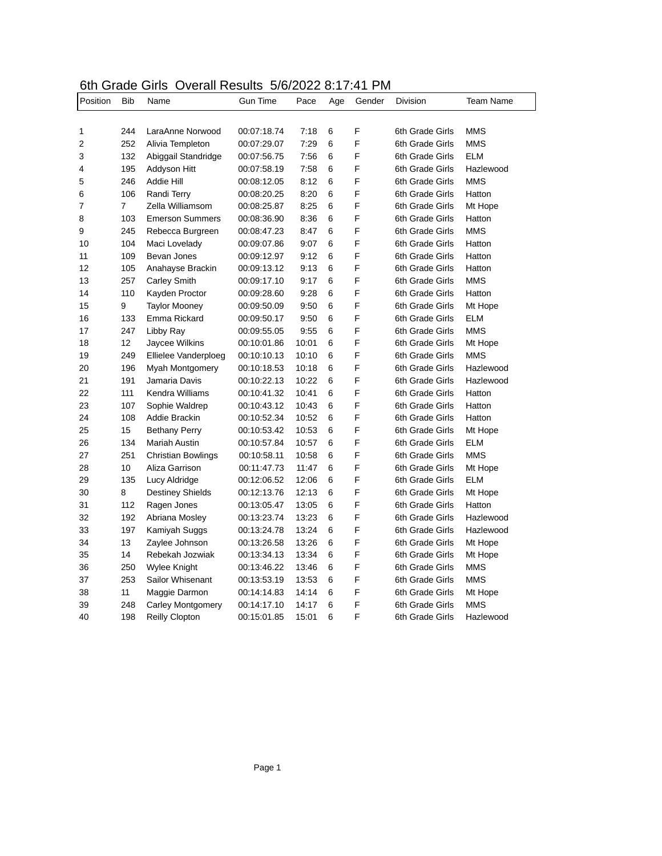## 6th Grade Girls Overall Results 5/6/2022 8:17:41 PM

| Position | <b>Bib</b> | Name                      | <b>Gun Time</b> | Pace  | Age    | Gender | <b>Division</b> | <b>Team Name</b> |
|----------|------------|---------------------------|-----------------|-------|--------|--------|-----------------|------------------|
|          |            |                           |                 |       |        |        |                 |                  |
| 1        | 244        | LaraAnne Norwood          | 00:07:18.74     | 7:18  | 6<br>6 | F<br>F | 6th Grade Girls | MMS              |
| 2        | 252        | Alivia Templeton          | 00:07:29.07     | 7:29  |        |        | 6th Grade Girls | <b>MMS</b>       |
| 3        | 132        | Abiggail Standridge       | 00:07:56.75     | 7:56  | 6      | F      | 6th Grade Girls | <b>ELM</b>       |
| 4        | 195        | Addyson Hitt              | 00:07:58.19     | 7:58  | 6      | F      | 6th Grade Girls | Hazlewood        |
| 5        | 246        | <b>Addie Hill</b>         | 00:08:12.05     | 8:12  | 6      | F      | 6th Grade Girls | <b>MMS</b>       |
| 6        | 106        | Randi Terry               | 00:08:20.25     | 8:20  | 6      | F      | 6th Grade Girls | Hatton           |
| 7        | 7          | Zella Williamsom          | 00:08:25.87     | 8:25  | 6      | F      | 6th Grade Girls | Mt Hope          |
| 8        | 103        | <b>Emerson Summers</b>    | 00:08:36.90     | 8:36  | 6      | F      | 6th Grade Girls | Hatton           |
| 9        | 245        | Rebecca Burgreen          | 00:08:47.23     | 8:47  | 6      | F      | 6th Grade Girls | MMS              |
| 10       | 104        | Maci Lovelady             | 00:09:07.86     | 9:07  | 6      | F      | 6th Grade Girls | Hatton           |
| 11       | 109        | Bevan Jones               | 00:09:12.97     | 9:12  | 6      | F      | 6th Grade Girls | Hatton           |
| 12       | 105        | Anahayse Brackin          | 00:09:13.12     | 9:13  | 6      | F      | 6th Grade Girls | Hatton           |
| 13       | 257        | <b>Carley Smith</b>       | 00:09:17.10     | 9:17  | 6      | F      | 6th Grade Girls | <b>MMS</b>       |
| 14       | 110        | Kayden Proctor            | 00:09:28.60     | 9:28  | 6      | F      | 6th Grade Girls | Hatton           |
| 15       | 9          | <b>Taylor Mooney</b>      | 00:09:50.09     | 9:50  | 6      | F      | 6th Grade Girls | Mt Hope          |
| 16       | 133        | Emma Rickard              | 00:09:50.17     | 9:50  | 6      | F      | 6th Grade Girls | ELM              |
| 17       | 247        | Libby Ray                 | 00:09:55.05     | 9:55  | 6      | F      | 6th Grade Girls | MMS              |
| 18       | 12         | Jaycee Wilkins            | 00:10:01.86     | 10:01 | 6      | F      | 6th Grade Girls | Mt Hope          |
| 19       | 249        | Ellielee Vanderploeg      | 00:10:10.13     | 10:10 | 6      | F      | 6th Grade Girls | <b>MMS</b>       |
| 20       | 196        | Myah Montgomery           | 00:10:18.53     | 10:18 | 6      | F      | 6th Grade Girls | Hazlewood        |
| 21       | 191        | Jamaria Davis             | 00:10:22.13     | 10:22 | 6      | F      | 6th Grade Girls | Hazlewood        |
| 22       | 111        | Kendra Williams           | 00:10:41.32     | 10:41 | 6      | F      | 6th Grade Girls | Hatton           |
| 23       | 107        | Sophie Waldrep            | 00:10:43.12     | 10:43 | 6      | F      | 6th Grade Girls | Hatton           |
| 24       | 108        | Addie Brackin             | 00:10:52.34     | 10:52 | 6      | F      | 6th Grade Girls | Hatton           |
| 25       | 15         | <b>Bethany Perry</b>      | 00:10:53.42     | 10:53 | 6      | F      | 6th Grade Girls | Mt Hope          |
| 26       | 134        | Mariah Austin             | 00:10:57.84     | 10:57 | 6      | F      | 6th Grade Girls | <b>ELM</b>       |
| 27       | 251        | <b>Christian Bowlings</b> | 00:10:58.11     | 10:58 | 6      | F      | 6th Grade Girls | <b>MMS</b>       |
| 28       | 10         | Aliza Garrison            | 00:11:47.73     | 11:47 | 6      | F      | 6th Grade Girls | Mt Hope          |
| 29       | 135        | Lucy Aldridge             | 00:12:06.52     | 12:06 | 6      | F      | 6th Grade Girls | <b>ELM</b>       |
| 30       | 8          | <b>Destiney Shields</b>   | 00:12:13.76     | 12:13 | 6      | F      | 6th Grade Girls | Mt Hope          |
| 31       | 112        | Ragen Jones               | 00:13:05.47     | 13:05 | 6      | F      | 6th Grade Girls | Hatton           |
| 32       | 192        | Abriana Mosley            | 00:13:23.74     | 13:23 | 6      | F      | 6th Grade Girls | Hazlewood        |
| 33       | 197        | Kamiyah Suggs             | 00:13:24.78     | 13:24 | 6      | F      | 6th Grade Girls | Hazlewood        |
| 34       | 13         | Zaylee Johnson            | 00:13:26.58     | 13:26 | 6      | F      | 6th Grade Girls | Mt Hope          |
| 35       | 14         | Rebekah Jozwiak           | 00:13:34.13     | 13:34 | 6      | F      | 6th Grade Girls | Mt Hope          |
| 36       | 250        | Wylee Knight              | 00:13:46.22     | 13:46 | 6      | F      | 6th Grade Girls | MMS              |
| 37       | 253        | Sailor Whisenant          | 00:13:53.19     | 13:53 | 6      | F      | 6th Grade Girls | MMS              |
| 38       | 11         | Maggie Darmon             | 00:14:14.83     | 14:14 | 6      | F      | 6th Grade Girls | Mt Hope          |
| 39       | 248        | <b>Carley Montgomery</b>  | 00:14:17.10     | 14:17 | 6      | F      | 6th Grade Girls | <b>MMS</b>       |
| 40       | 198        | <b>Reilly Clopton</b>     | 00:15:01.85     | 15:01 | 6      | F      | 6th Grade Girls | Hazlewood        |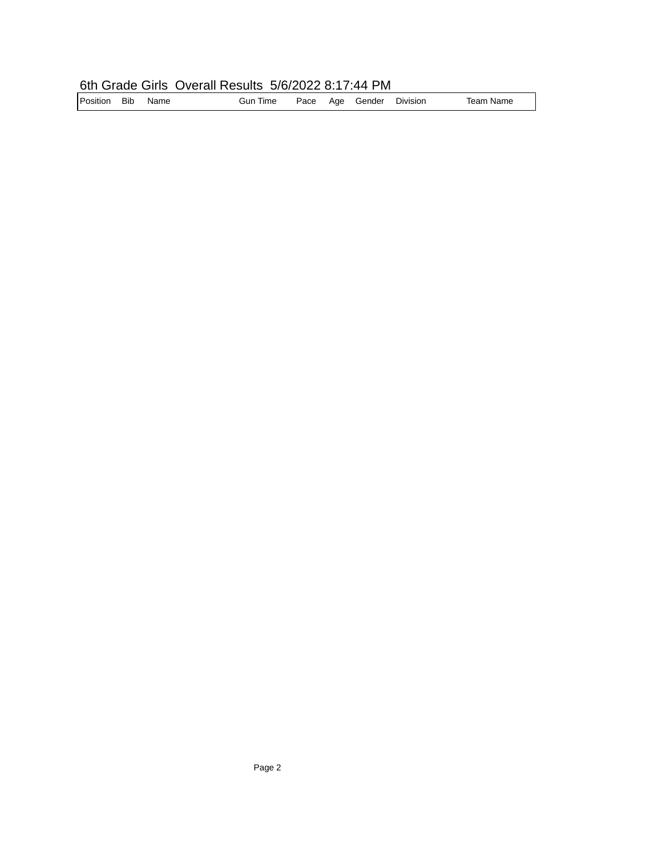## 6th Grade Girls Overall Results 5/6/2022 8:17:44 PM

| Position | <b>Bib</b> | Name | <b>Gun Time</b> |  |  | Pace Age Gender | Division | Team Name |
|----------|------------|------|-----------------|--|--|-----------------|----------|-----------|
|----------|------------|------|-----------------|--|--|-----------------|----------|-----------|